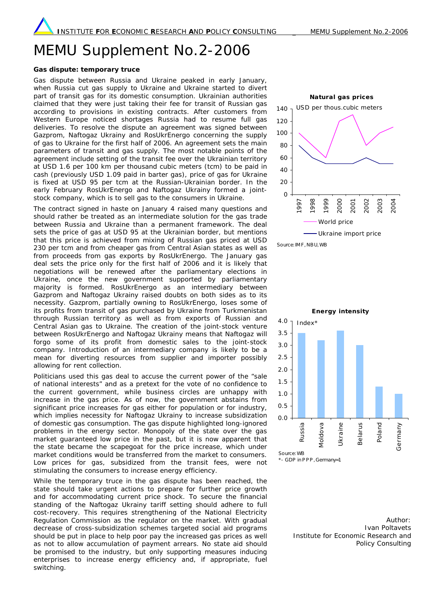## MEMU Supplement No.2-2006

## **Gas dispute: temporary truce**

Gas dispute between Russia and Ukraine peaked in early January, when Russia cut gas supply to Ukraine and Ukraine started to divert part of transit gas for its domestic consumption. Ukrainian authorities claimed that they were just taking their fee for transit of Russian gas according to provisions in existing contracts. After customers from Western Europe noticed shortages Russia had to resume full gas deliveries. To resolve the dispute an agreement was signed between Gazprom, Naftogaz Ukrainy and RosUkrEnergo concerning the supply of gas to Ukraine for the first half of 2006. An agreement sets the main parameters of transit and gas supply. The most notable points of the agreement include setting of the transit fee over the Ukrainian territory at USD 1.6 per 100 km per thousand cubic meters (tcm) to be paid in cash (previously USD 1.09 paid in barter gas), price of gas for Ukraine is fixed at USD 95 per tcm at the Russian-Ukrainian border. In the early February RosUkrEnergo and Naftogaz Ukrainy formed a jointstock company, which is to sell gas to the consumers in Ukraine.

The contract signed in haste on January 4 raised many questions and should rather be treated as an intermediate solution for the gas trade between Russia and Ukraine than a permanent framework. The deal sets the price of gas at USD 95 at the Ukrainian border, but mentions that this price is achieved from mixing of Russian gas priced at USD 230 per tcm and from cheaper gas from Central Asian states as well as from proceeds from gas exports by RosUkrEnergo. The January gas deal sets the price only for the first half of 2006 and it is likely that negotiations will be renewed after the parliamentary elections in Ukraine, once the new government supported by parliamentary majority is formed. RosUkrEnergo as an intermediary between Gazprom and Naftogaz Ukrainy raised doubts on both sides as to its necessity. Gazprom, partially owning to RosUkrEnergo, loses some of its profits from transit of gas purchased by Ukraine from Turkmenistan through Russian territory as well as from exports of Russian and Central Asian gas to Ukraine. The creation of the joint-stock venture between RosUkrEnergo and Naftogaz Ukrainy means that Naftogaz will forgo some of its profit from domestic sales to the joint-stock company. Introduction of an intermediary company is likely to be a mean for diverting resources from supplier and importer possibly allowing for rent collection.

Politicians used this gas deal to accuse the current power of the "sale of national interests" and as a pretext for the vote of no confidence to the current government, while business circles are unhappy with increase in the gas price. As of now, the government abstains from significant price increases for gas either for population or for industry, which implies necessity for Naftogaz Ukrainy to increase subsidization of domestic gas consumption. The gas dispute highlighted long-ignored problems in the energy sector. Monopoly of the state over the gas market guaranteed low price in the past, but it is now apparent that the state became the scapegoat for the price increase, which under market conditions would be transferred from the market to consumers. Low prices for gas, subsidized from the transit fees, were not stimulating the consumers to increase energy efficiency.

While the temporary truce in the gas dispute has been reached, the state should take urgent actions to prepare for further price growth and for accommodating current price shock. To secure the financial standing of the Naftogaz Ukrainy tariff setting should adhere to full cost-recovery. This requires strengthening of the National Electricity Regulation Commission as the regulator on the market. With gradual decrease of cross-subsidization schemes targeted social aid programs should be put in place to help poor pay the increased gas prices as well as not to allow accumulation of payment arrears. No state aid should be promised to the industry, but only supporting measures inducing enterprises to increase energy efficiency and, if appropriate, fuel switching.





Author: Ivan Poltavets Institute for Economic Research and Policy Consulting